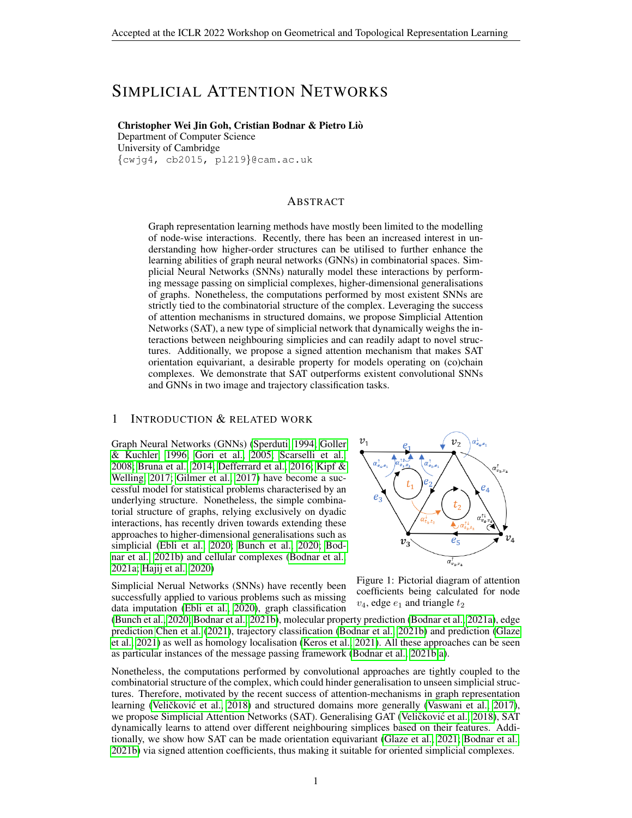# SIMPLICIAL ATTENTION NETWORKS

## Christopher Wei Jin Goh, Cristian Bodnar & Pietro Lio`

Department of Computer Science University of Cambridge {cwjg4, cb2015, pl219}@cam.ac.uk

#### ABSTRACT

Graph representation learning methods have mostly been limited to the modelling of node-wise interactions. Recently, there has been an increased interest in understanding how higher-order structures can be utilised to further enhance the learning abilities of graph neural networks (GNNs) in combinatorial spaces. Simplicial Neural Networks (SNNs) naturally model these interactions by performing message passing on simplicial complexes, higher-dimensional generalisations of graphs. Nonetheless, the computations performed by most existent SNNs are strictly tied to the combinatorial structure of the complex. Leveraging the success of attention mechanisms in structured domains, we propose Simplicial Attention Networks (SAT), a new type of simplicial network that dynamically weighs the interactions between neighbouring simplicies and can readily adapt to novel structures. Additionally, we propose a signed attention mechanism that makes SAT orientation equivariant, a desirable property for models operating on (co)chain complexes. We demonstrate that SAT outperforms existent convolutional SNNs and GNNs in two image and trajectory classification tasks.

## 1 INTRODUCTION & RELATED WORK

Graph Neural Networks (GNNs) [\(Sperduti, 1994;](#page-6-0) [Goller](#page-5-0) [& Kuchler, 1996;](#page-5-0) [Gori et al., 2005;](#page-5-1) [Scarselli et al.,](#page-6-1) [2008;](#page-6-1) [Bruna et al., 2014;](#page-5-2) [Defferrard et al., 2016;](#page-5-3) [Kipf &](#page-5-4) [Welling, 2017;](#page-5-4) [Gilmer et al., 2017\)](#page-5-5) have become a successful model for statistical problems characterised by an underlying structure. Nonetheless, the simple combinatorial structure of graphs, relying exclusively on dyadic interactions, has recently driven towards extending these approaches to higher-dimensional generalisations such as simplicial [\(Ebli et al., 2020;](#page-5-6) [Bunch et al., 2020;](#page-5-7) [Bod](#page-5-8)[nar et al., 2021b\)](#page-5-8) and cellular complexes [\(Bodnar et al.,](#page-5-9) [2021a;](#page-5-9) [Hajij et al., 2020\)](#page-5-10)

Simplicial Nerual Networks (SNNs) have recently been successfully applied to various problems such as missing data imputation [\(Ebli et al., 2020\)](#page-5-6), graph classification



Figure 1: Pictorial diagram of attention coefficients being calculated for node  $v_4$ , edge  $e_1$  and triangle  $t_2$ 

[\(Bunch et al., 2020;](#page-5-7) [Bodnar et al., 2021b\)](#page-5-8), molecular property prediction [\(Bodnar et al., 2021a\)](#page-5-9), edge prediction [Chen et al.](#page-5-11) [\(2021\)](#page-5-11), trajectory classification [\(Bodnar et al., 2021b\)](#page-5-8) and prediction [\(Glaze](#page-5-12) [et al., 2021\)](#page-5-12) as well as homology localisation [\(Keros et al., 2021\)](#page-5-13). All these approaches can be seen as particular instances of the message passing framework [\(Bodnar et al., 2021b;](#page-5-8)[a\)](#page-5-9).

Nonetheless, the computations performed by convolutional approaches are tightly coupled to the combinatorial structure of the complex, which could hinder generalisation to unseen simplicial structures. Therefore, motivated by the recent success of attention-mechanisms in graph representation learning (Veličković et al., [2018\)](#page-6-2) and structured domains more generally [\(Vaswani et al., 2017\)](#page-6-3), we propose Simplicial Attention Networks (SAT). Generalising GAT (Veličković et al., [2018\)](#page-6-2), SAT dynamically learns to attend over different neighbouring simplices based on their features. Additionally, we show how SAT can be made orientation equivariant [\(Glaze et al., 2021;](#page-5-12) [Bodnar et al.,](#page-5-8) [2021b\)](#page-5-8) via signed attention coefficients, thus making it suitable for oriented simplicial complexes.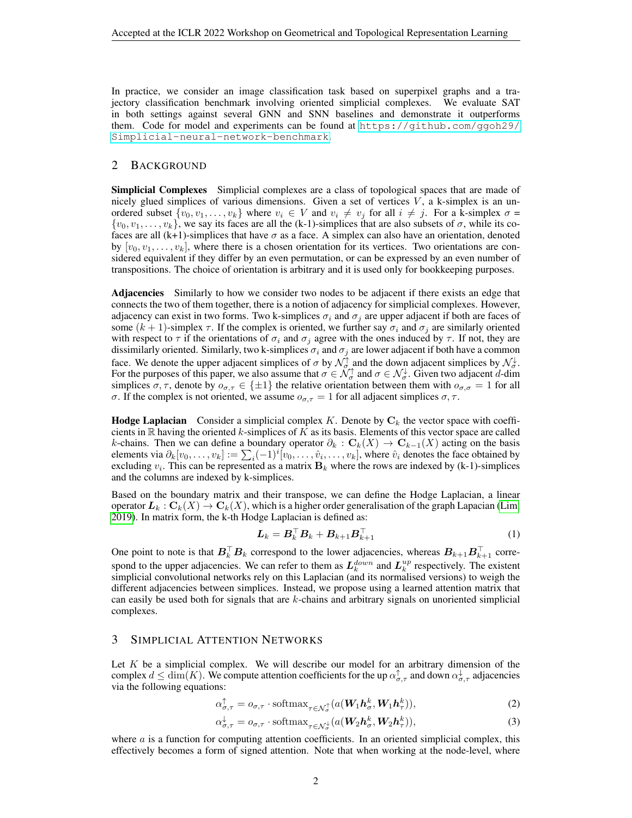In practice, we consider an image classification task based on superpixel graphs and a trajectory classification benchmark involving oriented simplicial complexes. We evaluate SAT in both settings against several GNN and SNN baselines and demonstrate it outperforms them. Code for model and experiments can be found at [https://github.com/ggoh29/](https://github.com/ggoh29/Simplicial-neural-network-benchmark) [Simplicial-neural-network-benchmark](https://github.com/ggoh29/Simplicial-neural-network-benchmark).

# 2 BACKGROUND

**Simplicial Complexes** Simplicial complexes are a class of topological spaces that are made of nicely glued simplices of various dimensions. Given a set of vertices  $V$ , a k-simplex is an unordered subset  $\{v_0, v_1, \ldots, v_k\}$  where  $v_i \in V$  and  $v_i \neq v_j$  for all  $i \neq j$ . For a k-simplex  $\sigma =$  $\{v_0, v_1, \ldots, v_k\}$ , we say its faces are all the (k-1)-simplices that are also subsets of  $\sigma$ , while its cofaces are all  $(k+1)$ -simplices that have  $\sigma$  as a face. A simplex can also have an orientation, denoted by  $[v_0, v_1, \ldots, v_k]$ , where there is a chosen orientation for its vertices. Two orientations are considered equivalent if they differ by an even permutation, or can be expressed by an even number of transpositions. The choice of orientation is arbitrary and it is used only for bookkeeping purposes.

Adjacencies Similarly to how we consider two nodes to be adjacent if there exists an edge that connects the two of them together, there is a notion of adjacency for simplicial complexes. However, adjacency can exist in two forms. Two k-simplices  $\sigma_i$  and  $\sigma_j$  are upper adjacent if both are faces of some  $(k + 1)$ -simplex  $\tau$ . If the complex is oriented, we further say  $\sigma_i$  and  $\sigma_j$  are similarly oriented with respect to  $\tau$  if the orientations of  $\sigma_i$  and  $\sigma_j$  agree with the ones induced by  $\tau$ . If not, they are dissimilarly oriented. Similarly, two k-simplices  $\sigma_i$  and  $\sigma_j$  are lower adjacent if both have a common face. We denote the upper adjacent simplices of  $\sigma$  by  $\mathcal{N}_{\sigma}^{\uparrow}$  and the down adjacent simplices by  $\mathcal{N}_{\sigma}^{\downarrow}$ . For the purposes of this paper, we also assume that  $\sigma \in \mathcal{N}_{\sigma}^{\uparrow}$  and  $\sigma \in \mathcal{N}_{\sigma}^{\downarrow}$ . Given two adjacent d-dim simplices  $\sigma, \tau$ , denote by  $o_{\sigma,\tau} \in \{\pm 1\}$  the relative orientation between them with  $o_{\sigma,\sigma} = 1$  for all σ. If the complex is not oriented, we assume  $o_{\sigma,\tau} = 1$  for all adjacent simplices  $\sigma, \tau$ .

**Hodge Laplacian** Consider a simplicial complex K. Denote by  $C_k$  the vector space with coefficients in  $\mathbb R$  having the oriented k-simplices of K as its basis. Elements of this vector space are called k-chains. Then we can define a boundary operator  $\partial_k : \mathbf{C}_k(X) \to \mathbf{C}_{k-1}(X)$  acting on the basis elements via  $\partial_k[v_0,\ldots,v_k] := \sum_i (-1)^i [v_0,\ldots,\hat{v}_i,\ldots,v_k]$ , where  $\hat{v}_i$  denotes the face obtained by excluding  $v_i$ . This can be represented as a matrix  $\mathbf{B}_k$  where the rows are indexed by (k-1)-simplices and the columns are indexed by k-simplices.

Based on the boundary matrix and their transpose, we can define the Hodge Laplacian, a linear operator  $L_k: \mathbf{C}_k(X) \to \mathbf{C}_k(X)$ , which is a higher order generalisation of the graph Lapacian [\(Lim,](#page-5-14) [2019\)](#page-5-14). In matrix form, the k-th Hodge Laplacian is defined as:

$$
\boldsymbol{L}_k = \boldsymbol{B}_k^\top \boldsymbol{B}_k + \boldsymbol{B}_{k+1} \boldsymbol{B}_{k+1}^\top \tag{1}
$$

One point to note is that  $B_k^\top B_k$  correspond to the lower adjacencies, whereas  $B_{k+1}B_{k+1}^\top$  correspond to the upper adjacencies. We can refer to them as  $L_k^{down}$  and  $L_k^{up}$  respectively. The existent simplicial convolutional networks rely on this Laplacian (and its normalised versions) to weigh the different adjacencies between simplices. Instead, we propose using a learned attention matrix that can easily be used both for signals that are k-chains and arbitrary signals on unoriented simplicial complexes.

## 3 SIMPLICIAL ATTENTION NETWORKS

Let  $K$  be a simplicial complex. We will describe our model for an arbitrary dimension of the complex  $d \le \dim(K)$ . We compute attention coefficients for the up  $\alpha_{\sigma,\tau}^{\uparrow}$  and down  $\alpha_{\sigma,\tau}^{\downarrow}$  adjacencies via the following equations:

$$
\alpha_{\sigma,\tau}^{\uparrow} = o_{\sigma,\tau} \cdot \text{softmax}_{\tau \in \mathcal{N}_{\sigma}^{\uparrow}}(a(\boldsymbol{W}_{1}\boldsymbol{h}_{\sigma}^{k},\boldsymbol{W}_{1}\boldsymbol{h}_{\tau}^{k})),\tag{2}
$$

$$
\alpha_{\sigma,\tau}^{\downarrow} = o_{\sigma,\tau} \cdot \text{softmax}_{\tau \in \mathcal{N}_{\sigma}^{\downarrow}}(a(\mathbf{W}_2 \mathbf{h}_{\sigma}^k, \mathbf{W}_2 \mathbf{h}_{\tau}^k)),\tag{3}
$$

where  $a$  is a function for computing attention coefficients. In an oriented simplicial complex, this effectively becomes a form of signed attention. Note that when working at the node-level, where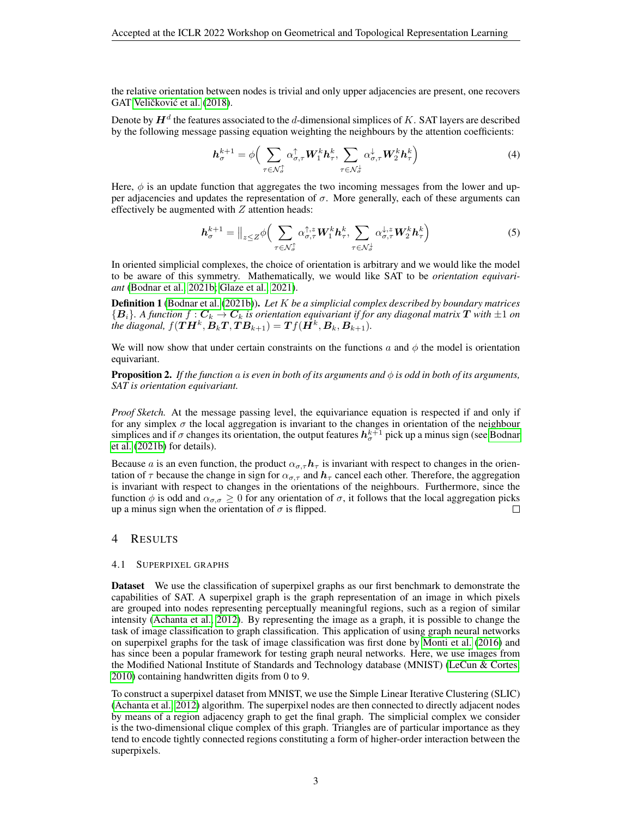the relative orientation between nodes is trivial and only upper adjacencies are present, one recovers GAT Veličković et al. [\(2018\)](#page-6-2).

Denote by  $\bm{H}^d$  the features associated to the  $d$ -dimensional simplices of  $K.$  SAT layers are described by the following message passing equation weighting the neighbours by the attention coefficients:

$$
\boldsymbol{h}_{\sigma}^{k+1} = \phi \Big( \sum_{\tau \in \mathcal{N}_{\sigma}^{\uparrow}} \alpha_{\sigma,\tau}^{\uparrow} \boldsymbol{W}_1^k \boldsymbol{h}_{\tau}^k, \sum_{\tau \in \mathcal{N}_{\sigma}^{\downarrow}} \alpha_{\sigma,\tau}^{\downarrow} \boldsymbol{W}_2^k \boldsymbol{h}_{\tau}^k \Big) \tag{4}
$$

Here,  $\phi$  is an update function that aggregates the two incoming messages from the lower and upper adjacencies and updates the representation of  $\sigma$ . More generally, each of these arguments can effectively be augmented with  $Z$  attention heads:

$$
\boldsymbol{h}_{\sigma}^{k+1} = \Big\|_{z \leq Z} \phi \Big( \sum_{\tau \in \mathcal{N}_{\sigma}^{\uparrow}} \alpha_{\sigma,\tau}^{\uparrow,z} \boldsymbol{W}_{1}^{k} \boldsymbol{h}_{\tau}^{k}, \sum_{\tau \in \mathcal{N}_{\sigma}^{\downarrow}} \alpha_{\sigma,\tau}^{\downarrow,z} \boldsymbol{W}_{2}^{k} \boldsymbol{h}_{\tau}^{k} \Big) \tag{5}
$$

In oriented simplicial complexes, the choice of orientation is arbitrary and we would like the model to be aware of this symmetry. Mathematically, we would like SAT to be *orientation equivariant* [\(Bodnar et al., 2021b;](#page-5-8) [Glaze et al., 2021\)](#page-5-12).

Definition 1 [\(Bodnar et al.](#page-5-8) [\(2021b\)](#page-5-8)). *Let* K *be a simplicial complex described by boundary matrices*  ${B<sub>i</sub>}$ *. A function*  $f: C_k \to C_k$  is orientation equivariant if for any diagonal matrix T with  $\pm 1$  on the diagonal,  $f(\boldsymbol{TH^k}, \boldsymbol{B_kT}, \boldsymbol{TB_{k+1}}) = \boldsymbol{Tf}(\boldsymbol{H^k}, \boldsymbol{B_k}, \boldsymbol{B_{k+1}}).$ 

We will now show that under certain constraints on the functions a and  $\phi$  the model is orientation equivariant.

**Proposition 2.** *If the function* a *is even in both of its arguments and*  $\phi$  *is odd in both of its arguments, SAT is orientation equivariant.*

*Proof Sketch.* At the message passing level, the equivariance equation is respected if and only if for any simplex  $\sigma$  the local aggregation is invariant to the changes in orientation of the neighbour simplices and if  $\sigma$  changes its orientation, the output features  $h_{\sigma}^{k+1}$  pick up a minus sign (see [Bodnar](#page-5-8) [et al.](#page-5-8) [\(2021b\)](#page-5-8) for details).

Because a is an even function, the product  $\alpha_{\sigma,\tau} h_{\tau}$  is invariant with respect to changes in the orientation of  $\tau$  because the change in sign for  $\alpha_{\sigma,\tau}$  and  $h_{\tau}$  cancel each other. Therefore, the aggregation is invariant with respect to changes in the orientations of the neighbours. Furthermore, since the function  $\phi$  is odd and  $\alpha_{\sigma,\sigma} \geq 0$  for any orientation of  $\sigma$ , it follows that the local aggregation picks up a minus sign when the orientation of  $\sigma$  is flipped. П

## 4 RESULTS

#### 4.1 SUPERPIXEL GRAPHS

Dataset We use the classification of superpixel graphs as our first benchmark to demonstrate the capabilities of SAT. A superpixel graph is the graph representation of an image in which pixels are grouped into nodes representing perceptually meaningful regions, such as a region of similar intensity [\(Achanta et al., 2012\)](#page-5-15). By representing the image as a graph, it is possible to change the task of image classification to graph classification. This application of using graph neural networks on superpixel graphs for the task of image classification was first done by [Monti et al.](#page-6-4) [\(2016\)](#page-6-4) and has since been a popular framework for testing graph neural networks. Here, we use images from the Modified National Institute of Standards and Technology database (MNIST) [\(LeCun & Cortes,](#page-5-16) [2010\)](#page-5-16) containing handwritten digits from 0 to 9.

To construct a superpixel dataset from MNIST, we use the Simple Linear Iterative Clustering (SLIC) [\(Achanta et al., 2012\)](#page-5-15) algorithm. The superpixel nodes are then connected to directly adjacent nodes by means of a region adjacency graph to get the final graph. The simplicial complex we consider is the two-dimensional clique complex of this graph. Triangles are of particular importance as they tend to encode tightly connected regions constituting a form of higher-order interaction between the superpixels.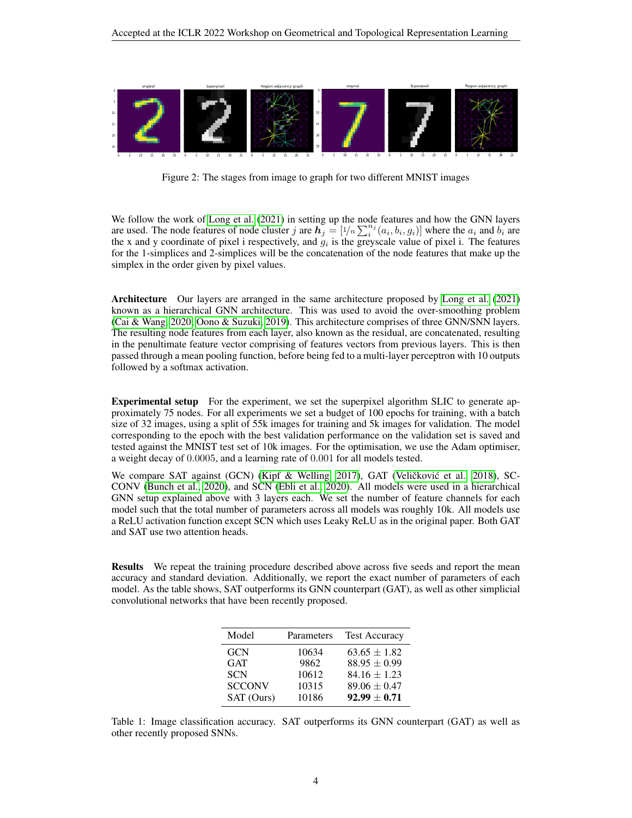

Figure 2: The stages from image to graph for two different MNIST images

We follow the work of [Long et al.](#page-5-17) [\(2021\)](#page-5-17) in setting up the node features and how the GNN layers are used. The node features of node cluster j are  $h_j = [1/n \sum_i^{n_j} (a_i, b_i, g_i)]$  where the  $a_i$  and  $b_i$  are the x and y coordinate of pixel i respectively, and  $g_i$  is the greyscale value of pixel i. The features for the 1-simplices and 2-simplices will be the concatenation of the node features that make up the simplex in the order given by pixel values.

Architecture Our layers are arranged in the same architecture proposed by [Long et al.](#page-5-17) [\(2021\)](#page-5-17) known as a hierarchical GNN architecture. This was used to avoid the over-smoothing problem [\(Cai & Wang, 2020;](#page-5-18) [Oono & Suzuki, 2019\)](#page-6-5). This architecture comprises of three GNN/SNN layers. The resulting node features from each layer, also known as the residual, are concatenated, resulting in the penultimate feature vector comprising of features vectors from previous layers. This is then passed through a mean pooling function, before being fed to a multi-layer perceptron with 10 outputs followed by a softmax activation.

Experimental setup For the experiment, we set the superpixel algorithm SLIC to generate approximately 75 nodes. For all experiments we set a budget of 100 epochs for training, with a batch size of 32 images, using a split of 55k images for training and 5k images for validation. The model corresponding to the epoch with the best validation performance on the validation set is saved and tested against the MNIST test set of 10k images. For the optimisation, we use the Adam optimiser, a weight decay of 0.0005, and a learning rate of 0.001 for all models tested.

We compare SAT against (GCN) [\(Kipf & Welling, 2017\)](#page-5-4), GAT (Veličković et al., [2018\)](#page-6-2), SC-CONV [\(Bunch et al., 2020\)](#page-5-7), and SCN [\(Ebli et al., 2020\)](#page-5-6). All models were used in a hierarchical GNN setup explained above with 3 layers each. We set the number of feature channels for each model such that the total number of parameters across all models was roughly 10k. All models use a ReLU activation function except SCN which uses Leaky ReLU as in the original paper. Both GAT and SAT use two attention heads.

Results We repeat the training procedure described above across five seeds and report the mean accuracy and standard deviation. Additionally, we report the exact number of parameters of each model. As the table shows, SAT outperforms its GNN counterpart (GAT), as well as other simplicial convolutional networks that have been recently proposed.

| Model         | Parameters | <b>Test Accuracy</b> |
|---------------|------------|----------------------|
| <b>GCN</b>    | 10634      | $63.65 \pm 1.82$     |
| <b>GAT</b>    | 9862       | $88.95 \pm 0.99$     |
| <b>SCN</b>    | 10612      | $84.16 \pm 1.23$     |
| <b>SCCONV</b> | 10315      | $89.06 \pm 0.47$     |
| SAT (Ours)    | 10186      | $92.99 \pm 0.71$     |

Table 1: Image classification accuracy. SAT outperforms its GNN counterpart (GAT) as well as other recently proposed SNNs.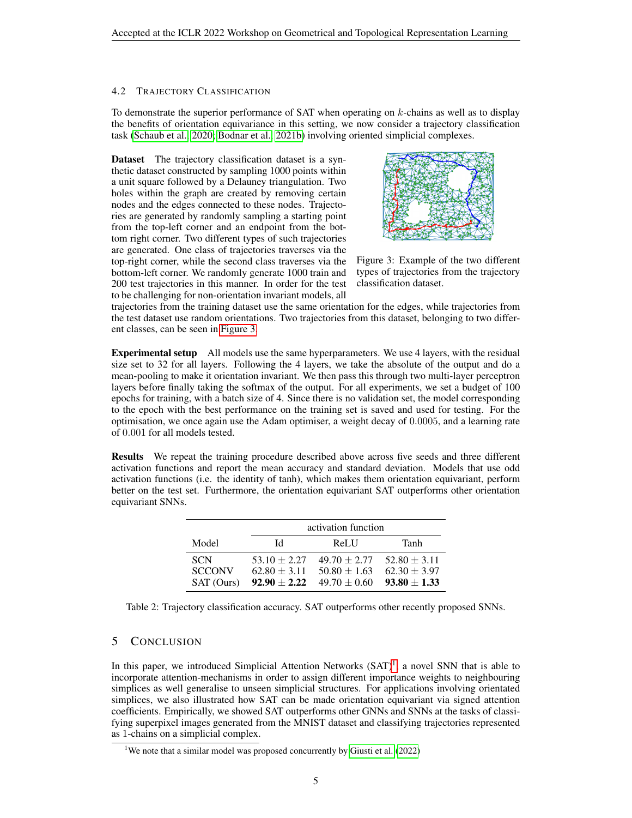### 4.2 TRAJECTORY CLASSIFICATION

To demonstrate the superior performance of SAT when operating on  $k$ -chains as well as to display the benefits of orientation equivariance in this setting, we now consider a trajectory classification task [\(Schaub et al., 2020;](#page-6-6) [Bodnar et al., 2021b\)](#page-5-8) involving oriented simplicial complexes.

Dataset The trajectory classification dataset is a synthetic dataset constructed by sampling 1000 points within a unit square followed by a Delauney triangulation. Two holes within the graph are created by removing certain nodes and the edges connected to these nodes. Trajectories are generated by randomly sampling a starting point from the top-left corner and an endpoint from the bottom right corner. Two different types of such trajectories are generated. One class of trajectories traverses via the top-right corner, while the second class traverses via the bottom-left corner. We randomly generate 1000 train and 200 test trajectories in this manner. In order for the test to be challenging for non-orientation invariant models, all

<span id="page-4-0"></span>

Figure 3: Example of the two different types of trajectories from the trajectory classification dataset.

trajectories from the training dataset use the same orientation for the edges, while trajectories from the test dataset use random orientations. Two trajectories from this dataset, belonging to two different classes, can be seen in [Figure 3.](#page-4-0)

Experimental setup All models use the same hyperparameters. We use 4 layers, with the residual size set to 32 for all layers. Following the 4 layers, we take the absolute of the output and do a mean-pooling to make it orientation invariant. We then pass this through two multi-layer perceptron layers before finally taking the softmax of the output. For all experiments, we set a budget of 100 epochs for training, with a batch size of 4. Since there is no validation set, the model corresponding to the epoch with the best performance on the training set is saved and used for testing. For the optimisation, we once again use the Adam optimiser, a weight decay of 0.0005, and a learning rate of 0.001 for all models tested.

Results We repeat the training procedure described above across five seeds and three different activation functions and report the mean accuracy and standard deviation. Models that use odd activation functions (i.e. the identity of tanh), which makes them orientation equivariant, perform better on the test set. Furthermore, the orientation equivariant SAT outperforms other orientation equivariant SNNs.

|                                           | activation function                                      |                                                                       |                                      |
|-------------------------------------------|----------------------------------------------------------|-----------------------------------------------------------------------|--------------------------------------|
| Model                                     | ЪI                                                       | ReLU                                                                  | Tanh                                 |
| <b>SCN</b><br><b>SCCONV</b><br>SAT (Ours) | $53.10 \pm 2.27$<br>$62.80 \pm 3.11$<br>$92.90 \pm 2.22$ | $49.70 + 2.77$ $52.80 + 3.11$<br>$50.80 \pm 1.63$<br>$49.70 \pm 0.60$ | $62.30 \pm 3.97$<br>$93.80 \pm 1.33$ |

Table 2: Trajectory classification accuracy. SAT outperforms other recently proposed SNNs.

# 5 CONCLUSION

In this paper, we introduced Simplicial Attention Networks  $(SAT)^1$  $(SAT)^1$ , a novel SNN that is able to incorporate attention-mechanisms in order to assign different importance weights to neighbouring simplices as well generalise to unseen simplicial structures. For applications involving orientated simplices, we also illustrated how SAT can be made orientation equivariant via signed attention coefficients. Empirically, we showed SAT outperforms other GNNs and SNNs at the tasks of classifying superpixel images generated from the MNIST dataset and classifying trajectories represented as 1-chains on a simplicial complex.

<span id="page-4-1"></span><sup>&</sup>lt;sup>1</sup>We note that a similar model was proposed concurrently by [Giusti et al.](#page-5-19)  $(2022)$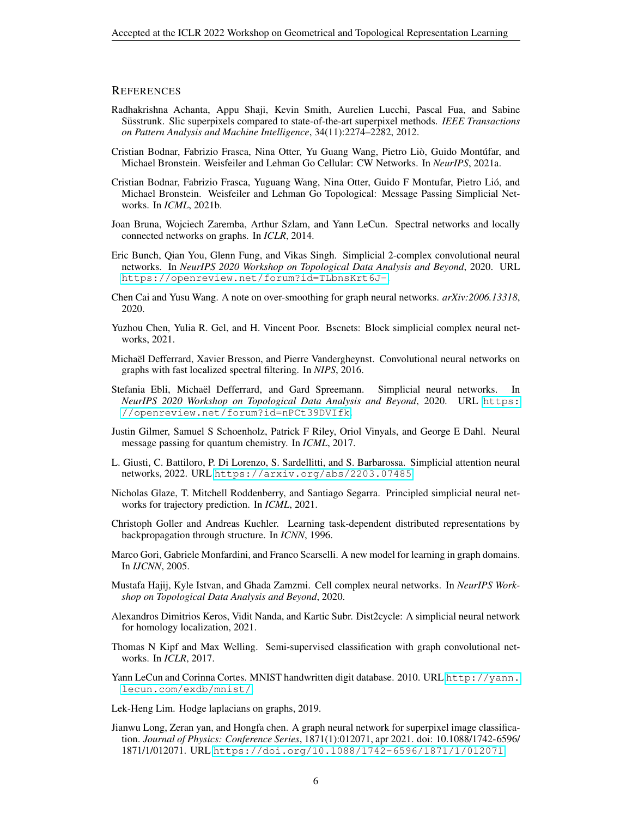### **REFERENCES**

- <span id="page-5-15"></span>Radhakrishna Achanta, Appu Shaji, Kevin Smith, Aurelien Lucchi, Pascal Fua, and Sabine Süsstrunk. Slic superpixels compared to state-of-the-art superpixel methods. *IEEE Transactions on Pattern Analysis and Machine Intelligence*, 34(11):2274–2282, 2012.
- <span id="page-5-9"></span>Cristian Bodnar, Fabrizio Frasca, Nina Otter, Yu Guang Wang, Pietro Liò, Guido Montúfar, and Michael Bronstein. Weisfeiler and Lehman Go Cellular: CW Networks. In *NeurIPS*, 2021a.
- <span id="page-5-8"></span>Cristian Bodnar, Fabrizio Frasca, Yuguang Wang, Nina Otter, Guido F Montufar, Pietro Lio, and ´ Michael Bronstein. Weisfeiler and Lehman Go Topological: Message Passing Simplicial Networks. In *ICML*, 2021b.
- <span id="page-5-2"></span>Joan Bruna, Wojciech Zaremba, Arthur Szlam, and Yann LeCun. Spectral networks and locally connected networks on graphs. In *ICLR*, 2014.
- <span id="page-5-7"></span>Eric Bunch, Qian You, Glenn Fung, and Vikas Singh. Simplicial 2-complex convolutional neural networks. In *NeurIPS 2020 Workshop on Topological Data Analysis and Beyond*, 2020. URL <https://openreview.net/forum?id=TLbnsKrt6J->.
- <span id="page-5-18"></span>Chen Cai and Yusu Wang. A note on over-smoothing for graph neural networks. *arXiv:2006.13318*, 2020.
- <span id="page-5-11"></span>Yuzhou Chen, Yulia R. Gel, and H. Vincent Poor. Bscnets: Block simplicial complex neural networks, 2021.
- <span id="page-5-3"></span>Michael Defferrard, Xavier Bresson, and Pierre Vandergheynst. Convolutional neural networks on ¨ graphs with fast localized spectral filtering. In *NIPS*, 2016.
- <span id="page-5-6"></span>Stefania Ebli, Michaël Defferrard, and Gard Spreemann. Simplicial neural networks. In *NeurIPS 2020 Workshop on Topological Data Analysis and Beyond*, 2020. URL [https:](https://openreview.net/forum?id=nPCt39DVIfk) [//openreview.net/forum?id=nPCt39DVIfk](https://openreview.net/forum?id=nPCt39DVIfk).
- <span id="page-5-5"></span>Justin Gilmer, Samuel S Schoenholz, Patrick F Riley, Oriol Vinyals, and George E Dahl. Neural message passing for quantum chemistry. In *ICML*, 2017.
- <span id="page-5-19"></span>L. Giusti, C. Battiloro, P. Di Lorenzo, S. Sardellitti, and S. Barbarossa. Simplicial attention neural networks, 2022. URL <https://arxiv.org/abs/2203.07485>.
- <span id="page-5-12"></span>Nicholas Glaze, T. Mitchell Roddenberry, and Santiago Segarra. Principled simplicial neural networks for trajectory prediction. In *ICML*, 2021.
- <span id="page-5-0"></span>Christoph Goller and Andreas Kuchler. Learning task-dependent distributed representations by backpropagation through structure. In *ICNN*, 1996.
- <span id="page-5-1"></span>Marco Gori, Gabriele Monfardini, and Franco Scarselli. A new model for learning in graph domains. In *IJCNN*, 2005.
- <span id="page-5-10"></span>Mustafa Hajij, Kyle Istvan, and Ghada Zamzmi. Cell complex neural networks. In *NeurIPS Workshop on Topological Data Analysis and Beyond*, 2020.
- <span id="page-5-13"></span>Alexandros Dimitrios Keros, Vidit Nanda, and Kartic Subr. Dist2cycle: A simplicial neural network for homology localization, 2021.
- <span id="page-5-4"></span>Thomas N Kipf and Max Welling. Semi-supervised classification with graph convolutional networks. In *ICLR*, 2017.
- <span id="page-5-16"></span>Yann LeCun and Corinna Cortes. MNIST handwritten digit database. 2010. URL [http://yann.](http://yann.lecun.com/exdb/mnist/) [lecun.com/exdb/mnist/](http://yann.lecun.com/exdb/mnist/).

<span id="page-5-14"></span>Lek-Heng Lim. Hodge laplacians on graphs, 2019.

<span id="page-5-17"></span>Jianwu Long, Zeran yan, and Hongfa chen. A graph neural network for superpixel image classification. *Journal of Physics: Conference Series*, 1871(1):012071, apr 2021. doi: 10.1088/1742-6596/ 1871/1/012071. URL <https://doi.org/10.1088/1742-6596/1871/1/012071>.